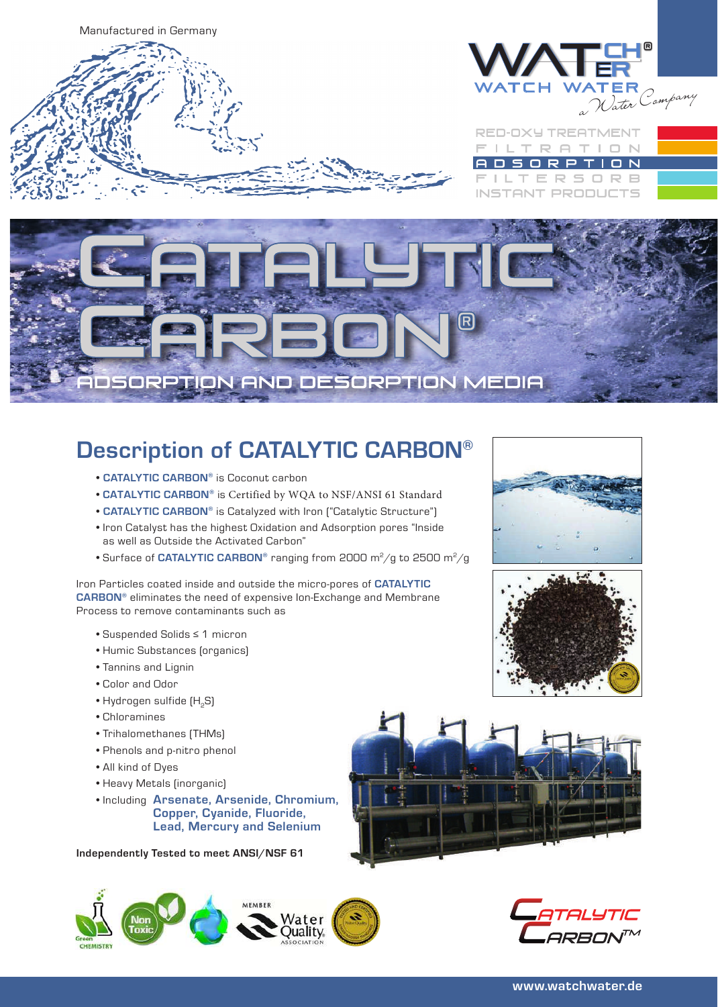

# **DSORPTION AND DESORPTION MEDIA**

#### • **CATALYTIC CARBON®** is Coconut carbon

• **CATALYTIC CARBON®** is Certified by WQA to NSF/ANSI 61 Standard

**Description of CATALYTIC CARBON®**

- **CATALYTIC CARBON®** is Catalyzed with Iron ("Catalytic Structure")
- Iron Catalyst has the highest Oxidation and Adsorption pores "Inside as well as Outside the Activated Carbon"
- Surface of **CATALYTIC CARBON**® ranging from 2000 m<sup>2</sup>/g to 2500 m<sup>2</sup>/g

#### Iron Particles coated inside and outside the micro-pores of **CATALYTIC CARBON®** eliminates the need of expensive Ion-Exchange and Membrane Process to remove contaminants such as

- Suspended Solids ≤ 1 micron
- Humic Substances (organics)
- Tannins and Lignin
- Color and Odor
- Hydrogen sulfide (H<sub>2</sub>S)
- Chloramines
- Trihalomethanes (THMs)
- Phenols and p-nitro phenol
- All kind of Dyes
- Heavy Metals (inorganic)
- Including **Arsenate, Arsenide, Chromium, Copper, Cyanide, Fluoride, Lead, Mercury and Selenium**

**Independently Tested to meet ANSI/NSF 61**









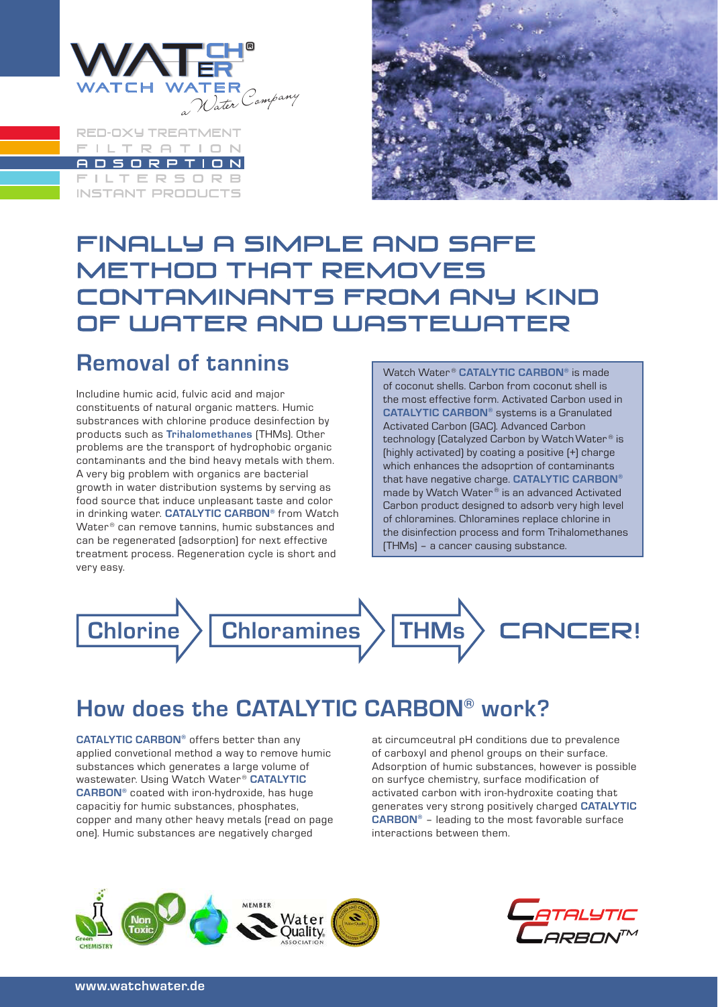

**RED-OXY TREATMENT** FILTRATION **ADSORPTION FILTERSORB INSTANT PRODUCTS** 



#### FINALLY A SIMPLE AND SAFE **METHOD THAT REMOVES** CONTAMINANTS FROM ANY KIND OF WATER AND WASTEWATER

#### **Removal of tannins**

Includine humic acid, fulvic acid and major constituents of natural organic matters. Humic substrances with chlorine produce desinfection by products such as **Trihalomethanes** (THMs). Other problems are the transport of hydrophobic organic contaminants and the bind heavy metals with them. A very big problem with organics are bacterial growth in water distribution systems by serving as food source that induce unpleasant taste and color in drinking water. **CATALYTIC CARBON®** from Watch Water<sup>®</sup> can remove tannins, humic substances and can be regenerated (adsorption) for next effective treatment process. Regeneration cycle is short and very easy.

Watch Water ® **CATALYTIC CARBON®** is made of coconut shells. Carbon from coconut shell is the most effective form. Activated Carbon used in **CATALYTIC CARBON®** systems is a Granulated Activated Carbon (GAC). Advanced Carbon technology [Catalyzed Carbon by Watch Water® is (highly activated) by coating a positive (+) charge which enhances the adsoprtion of contaminants that have negative charge. **CATALYTIC CARBON®** made by Watch Water ® is an advanced Activated Carbon product designed to adsorb very high level of chloramines. Chloramines replace chlorine in the disinfection process and form Trihalomethanes (THMs) – a cancer causing substance.



### **How does the CATALYTIC CARBON® work?**

**CATALYTIC CARBON®** offers better than any applied convetional method a way to remove humic substances which generates a large volume of wastewater. Using Watch Water ® **CATALYTIC CARBON®** coated with iron-hydroxide, has huge capacitiy for humic substances, phosphates, copper and many other heavy metals (read on page one). Humic substances are negatively charged

at circumceutral pH conditions due to prevalence of carboxyl and phenol groups on their surface. Adsorption of humic substances, however is possible on surfyce chemistry, surface modification of activated carbon with iron-hydroxite coating that generates very strong positively charged **CATALYTIC CARBON®** – leading to the most favorable surface interactions between them.